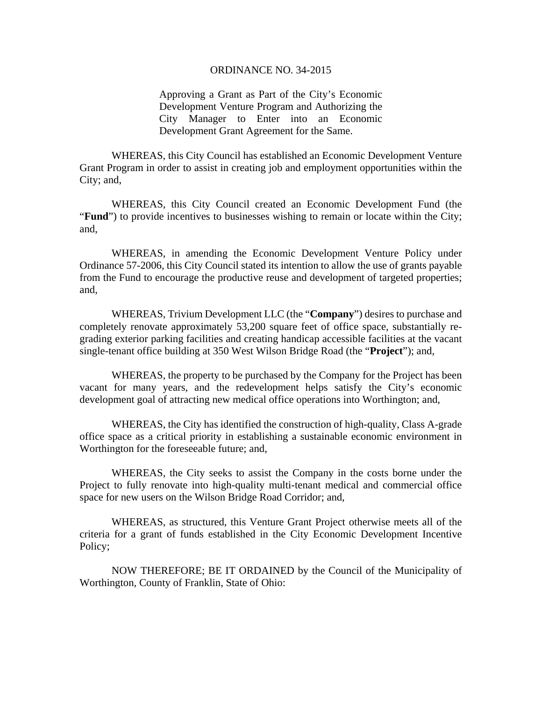## ORDINANCE NO. 34-2015

Approving a Grant as Part of the City's Economic Development Venture Program and Authorizing the City Manager to Enter into an Economic Development Grant Agreement for the Same.

WHEREAS, this City Council has established an Economic Development Venture Grant Program in order to assist in creating job and employment opportunities within the City; and,

WHEREAS, this City Council created an Economic Development Fund (the "**Fund**") to provide incentives to businesses wishing to remain or locate within the City; and,

WHEREAS, in amending the Economic Development Venture Policy under Ordinance 57-2006, this City Council stated its intention to allow the use of grants payable from the Fund to encourage the productive reuse and development of targeted properties; and,

WHEREAS, Trivium Development LLC (the "**Company**") desires to purchase and completely renovate approximately 53,200 square feet of office space, substantially regrading exterior parking facilities and creating handicap accessible facilities at the vacant single-tenant office building at 350 West Wilson Bridge Road (the "**Project**"); and,

WHEREAS, the property to be purchased by the Company for the Project has been vacant for many years, and the redevelopment helps satisfy the City's economic development goal of attracting new medical office operations into Worthington; and,

WHEREAS, the City has identified the construction of high-quality, Class A-grade office space as a critical priority in establishing a sustainable economic environment in Worthington for the foreseeable future; and,

WHEREAS, the City seeks to assist the Company in the costs borne under the Project to fully renovate into high-quality multi-tenant medical and commercial office space for new users on the Wilson Bridge Road Corridor; and,

WHEREAS, as structured, this Venture Grant Project otherwise meets all of the criteria for a grant of funds established in the City Economic Development Incentive Policy;

NOW THEREFORE; BE IT ORDAINED by the Council of the Municipality of Worthington, County of Franklin, State of Ohio: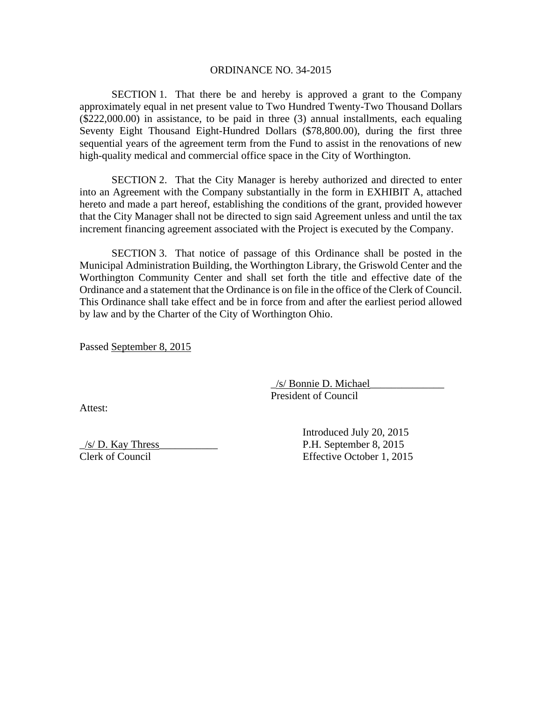#### ORDINANCE NO. 34-2015

SECTION 1. That there be and hereby is approved a grant to the Company approximately equal in net present value to Two Hundred Twenty-Two Thousand Dollars (\$222,000.00) in assistance, to be paid in three (3) annual installments, each equaling Seventy Eight Thousand Eight-Hundred Dollars (\$78,800.00), during the first three sequential years of the agreement term from the Fund to assist in the renovations of new high-quality medical and commercial office space in the City of Worthington.

SECTION 2. That the City Manager is hereby authorized and directed to enter into an Agreement with the Company substantially in the form in EXHIBIT A, attached hereto and made a part hereof, establishing the conditions of the grant, provided however that the City Manager shall not be directed to sign said Agreement unless and until the tax increment financing agreement associated with the Project is executed by the Company.

SECTION 3. That notice of passage of this Ordinance shall be posted in the Municipal Administration Building, the Worthington Library, the Griswold Center and the Worthington Community Center and shall set forth the title and effective date of the Ordinance and a statement that the Ordinance is on file in the office of the Clerk of Council. This Ordinance shall take effect and be in force from and after the earliest period allowed by law and by the Charter of the City of Worthington Ohio.

Passed September 8, 2015

 $\frac{1}{s}$  Bonnie D. Michael President of Council

Attest:

 $\frac{1}{s}$  D. Kay Thress P.H. September 8, 2015 Clerk of Council Effective October 1, 2015

Introduced July 20, 2015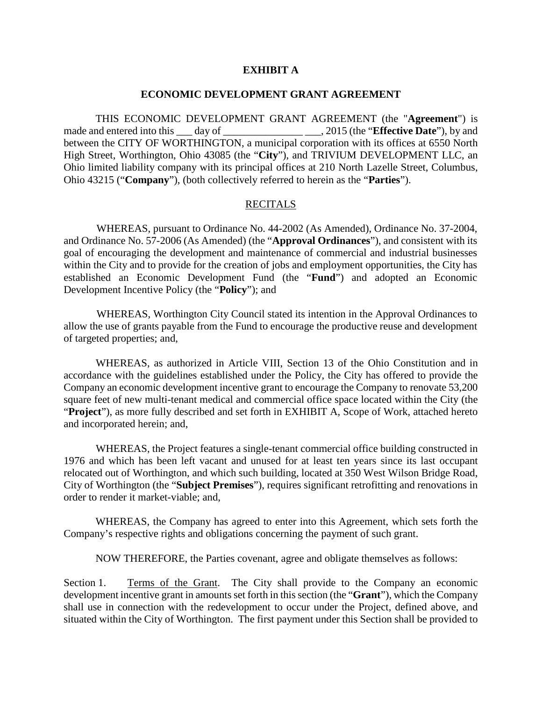## **EXHIBIT A**

#### **ECONOMIC DEVELOPMENT GRANT AGREEMENT**

THIS ECONOMIC DEVELOPMENT GRANT AGREEMENT (the "**Agreement**") is made and entered into this \_\_\_ day of \_\_\_\_\_\_\_\_\_\_\_\_\_\_\_\_\_\_\_\_\_\_, 2015 (the "**Effective Date**"), by and between the CITY OF WORTHINGTON, a municipal corporation with its offices at 6550 North High Street, Worthington, Ohio 43085 (the "**City**"), and TRIVIUM DEVELOPMENT LLC, an Ohio limited liability company with its principal offices at 210 North Lazelle Street, Columbus, Ohio 43215 ("**Company**"), (both collectively referred to herein as the "**Parties**").

#### **RECITALS**

WHEREAS, pursuant to Ordinance No. 44-2002 (As Amended), Ordinance No. 37-2004, and Ordinance No. 57-2006 (As Amended) (the "**Approval Ordinances**"), and consistent with its goal of encouraging the development and maintenance of commercial and industrial businesses within the City and to provide for the creation of jobs and employment opportunities, the City has established an Economic Development Fund (the "**Fund**") and adopted an Economic Development Incentive Policy (the "**Policy**"); and

WHEREAS, Worthington City Council stated its intention in the Approval Ordinances to allow the use of grants payable from the Fund to encourage the productive reuse and development of targeted properties; and,

WHEREAS, as authorized in Article VIII, Section 13 of the Ohio Constitution and in accordance with the guidelines established under the Policy, the City has offered to provide the Company an economic development incentive grant to encourage the Company to renovate 53,200 square feet of new multi-tenant medical and commercial office space located within the City (the "**Project**"), as more fully described and set forth in EXHIBIT A, Scope of Work, attached hereto and incorporated herein; and,

WHEREAS, the Project features a single-tenant commercial office building constructed in 1976 and which has been left vacant and unused for at least ten years since its last occupant relocated out of Worthington, and which such building, located at 350 West Wilson Bridge Road, City of Worthington (the "**Subject Premises**"), requires significant retrofitting and renovations in order to render it market-viable; and,

WHEREAS, the Company has agreed to enter into this Agreement, which sets forth the Company's respective rights and obligations concerning the payment of such grant.

NOW THEREFORE, the Parties covenant, agree and obligate themselves as follows:

Section 1. Terms of the Grant. The City shall provide to the Company an economic development incentive grant in amounts set forth in this section (the "**Grant**"), which the Company shall use in connection with the redevelopment to occur under the Project, defined above, and situated within the City of Worthington. The first payment under this Section shall be provided to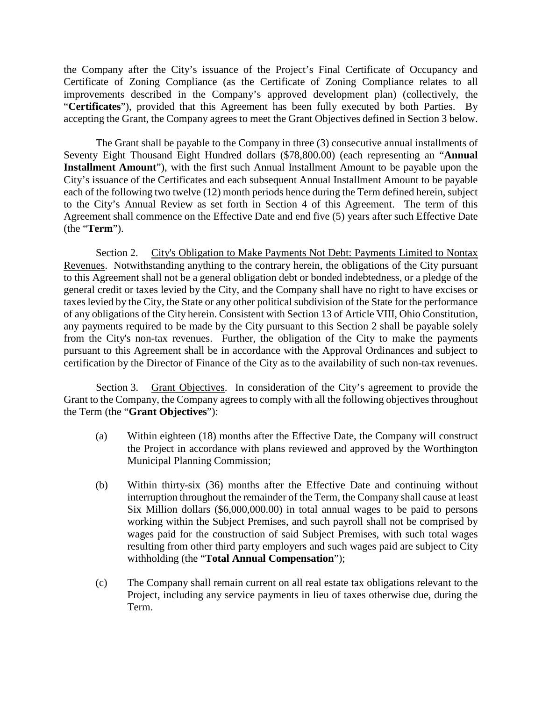the Company after the City's issuance of the Project's Final Certificate of Occupancy and Certificate of Zoning Compliance (as the Certificate of Zoning Compliance relates to all improvements described in the Company's approved development plan) (collectively, the "**Certificates**"), provided that this Agreement has been fully executed by both Parties. By accepting the Grant, the Company agrees to meet the Grant Objectives defined in Section 3 below.

The Grant shall be payable to the Company in three (3) consecutive annual installments of Seventy Eight Thousand Eight Hundred dollars (\$78,800.00) (each representing an "**Annual Installment Amount**"), with the first such Annual Installment Amount to be payable upon the City's issuance of the Certificates and each subsequent Annual Installment Amount to be payable each of the following two twelve (12) month periods hence during the Term defined herein, subject to the City's Annual Review as set forth in Section 4 of this Agreement. The term of this Agreement shall commence on the Effective Date and end five (5) years after such Effective Date (the "**Term**").

Section 2. City's Obligation to Make Payments Not Debt: Payments Limited to Nontax Revenues. Notwithstanding anything to the contrary herein, the obligations of the City pursuant to this Agreement shall not be a general obligation debt or bonded indebtedness, or a pledge of the general credit or taxes levied by the City, and the Company shall have no right to have excises or taxes levied by the City, the State or any other political subdivision of the State for the performance of any obligations of the City herein. Consistent with Section 13 of Article VIII, Ohio Constitution, any payments required to be made by the City pursuant to this Section 2 shall be payable solely from the City's non-tax revenues. Further, the obligation of the City to make the payments pursuant to this Agreement shall be in accordance with the Approval Ordinances and subject to certification by the Director of Finance of the City as to the availability of such non-tax revenues.

Section 3. Grant Objectives. In consideration of the City's agreement to provide the Grant to the Company, the Company agrees to comply with all the following objectives throughout the Term (the "**Grant Objectives**"):

- (a) Within eighteen (18) months after the Effective Date, the Company will construct the Project in accordance with plans reviewed and approved by the Worthington Municipal Planning Commission;
- (b) Within thirty-six (36) months after the Effective Date and continuing without interruption throughout the remainder of the Term, the Company shall cause at least Six Million dollars (\$6,000,000.00) in total annual wages to be paid to persons working within the Subject Premises, and such payroll shall not be comprised by wages paid for the construction of said Subject Premises, with such total wages resulting from other third party employers and such wages paid are subject to City withholding (the "**Total Annual Compensation**");
- (c) The Company shall remain current on all real estate tax obligations relevant to the Project, including any service payments in lieu of taxes otherwise due, during the Term.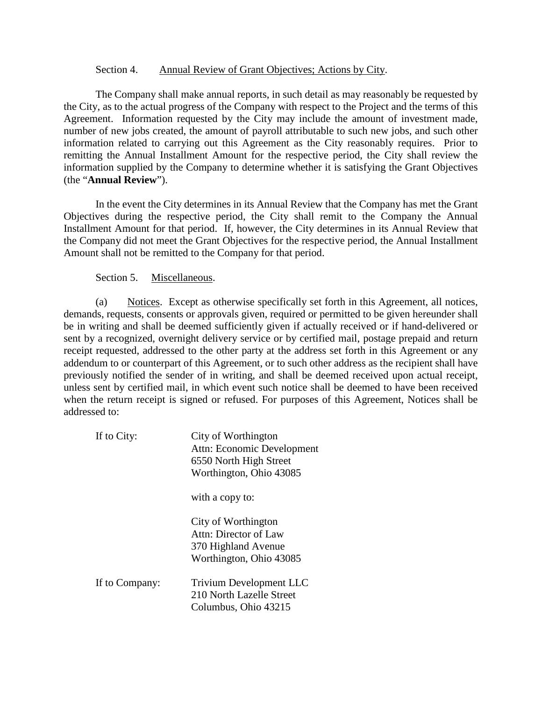#### Section 4. Annual Review of Grant Objectives; Actions by City.

The Company shall make annual reports, in such detail as may reasonably be requested by the City, as to the actual progress of the Company with respect to the Project and the terms of this Agreement. Information requested by the City may include the amount of investment made, number of new jobs created, the amount of payroll attributable to such new jobs, and such other information related to carrying out this Agreement as the City reasonably requires. Prior to remitting the Annual Installment Amount for the respective period, the City shall review the information supplied by the Company to determine whether it is satisfying the Grant Objectives (the "**Annual Review**").

In the event the City determines in its Annual Review that the Company has met the Grant Objectives during the respective period, the City shall remit to the Company the Annual Installment Amount for that period. If, however, the City determines in its Annual Review that the Company did not meet the Grant Objectives for the respective period, the Annual Installment Amount shall not be remitted to the Company for that period.

## Section 5. Miscellaneous.

(a) Notices. Except as otherwise specifically set forth in this Agreement, all notices, demands, requests, consents or approvals given, required or permitted to be given hereunder shall be in writing and shall be deemed sufficiently given if actually received or if hand-delivered or sent by a recognized, overnight delivery service or by certified mail, postage prepaid and return receipt requested, addressed to the other party at the address set forth in this Agreement or any addendum to or counterpart of this Agreement, or to such other address as the recipient shall have previously notified the sender of in writing, and shall be deemed received upon actual receipt, unless sent by certified mail, in which event such notice shall be deemed to have been received when the return receipt is signed or refused. For purposes of this Agreement, Notices shall be addressed to:

| If to City:    | City of Worthington<br>Attn: Economic Development<br>6550 North High Street<br>Worthington, Ohio 43085 |
|----------------|--------------------------------------------------------------------------------------------------------|
|                | with a copy to:                                                                                        |
|                | City of Worthington<br>Attn: Director of Law<br>370 Highland Avenue<br>Worthington, Ohio 43085         |
| If to Company: | <b>Trivium Development LLC</b><br>210 North Lazelle Street<br>Columbus, Ohio 43215                     |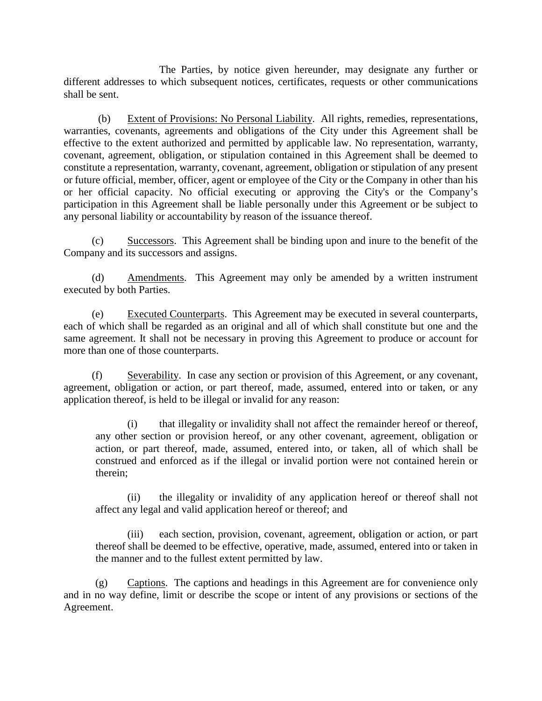The Parties, by notice given hereunder, may designate any further or different addresses to which subsequent notices, certificates, requests or other communications shall be sent.

(b) Extent of Provisions: No Personal Liability. All rights, remedies, representations, warranties, covenants, agreements and obligations of the City under this Agreement shall be effective to the extent authorized and permitted by applicable law. No representation, warranty, covenant, agreement, obligation, or stipulation contained in this Agreement shall be deemed to constitute a representation, warranty, covenant, agreement, obligation or stipulation of any present or future official, member, officer, agent or employee of the City or the Company in other than his or her official capacity. No official executing or approving the City's or the Company's participation in this Agreement shall be liable personally under this Agreement or be subject to any personal liability or accountability by reason of the issuance thereof.

(c) Successors. This Agreement shall be binding upon and inure to the benefit of the Company and its successors and assigns.

(d) Amendments. This Agreement may only be amended by a written instrument executed by both Parties.

(e) Executed Counterparts. This Agreement may be executed in several counterparts, each of which shall be regarded as an original and all of which shall constitute but one and the same agreement. It shall not be necessary in proving this Agreement to produce or account for more than one of those counterparts.

(f) Severability. In case any section or provision of this Agreement, or any covenant, agreement, obligation or action, or part thereof, made, assumed, entered into or taken, or any application thereof, is held to be illegal or invalid for any reason:

(i) that illegality or invalidity shall not affect the remainder hereof or thereof, any other section or provision hereof, or any other covenant, agreement, obligation or action, or part thereof, made, assumed, entered into, or taken, all of which shall be construed and enforced as if the illegal or invalid portion were not contained herein or therein;

(ii) the illegality or invalidity of any application hereof or thereof shall not affect any legal and valid application hereof or thereof; and

(iii) each section, provision, covenant, agreement, obligation or action, or part thereof shall be deemed to be effective, operative, made, assumed, entered into or taken in the manner and to the fullest extent permitted by law.

(g) Captions. The captions and headings in this Agreement are for convenience only and in no way define, limit or describe the scope or intent of any provisions or sections of the Agreement.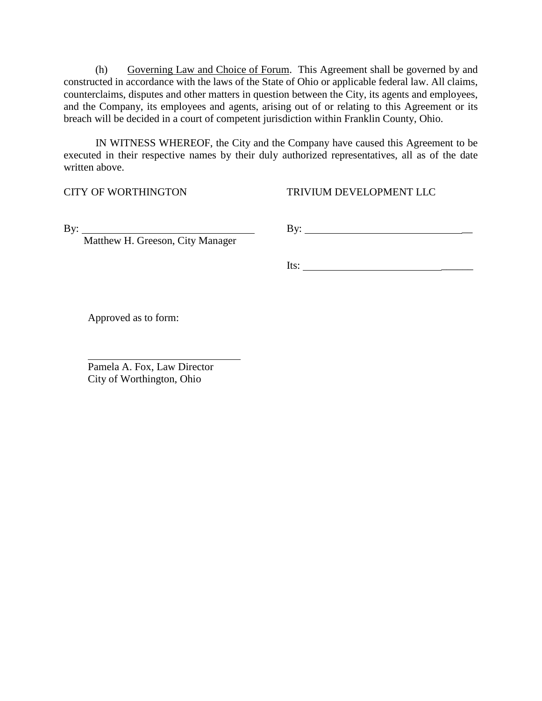(h) Governing Law and Choice of Forum. This Agreement shall be governed by and constructed in accordance with the laws of the State of Ohio or applicable federal law. All claims, counterclaims, disputes and other matters in question between the City, its agents and employees, and the Company, its employees and agents, arising out of or relating to this Agreement or its breach will be decided in a court of competent jurisdiction within Franklin County, Ohio.

IN WITNESS WHEREOF, the City and the Company have caused this Agreement to be executed in their respective names by their duly authorized representatives, all as of the date written above.

CITY OF WORTHINGTON TRIVIUM DEVELOPMENT LLC

Matthew H. Greeson, City Manager

By: By: \_\_

Its: \_\_\_\_\_\_

Approved as to form:

Pamela A. Fox, Law Director City of Worthington, Ohio